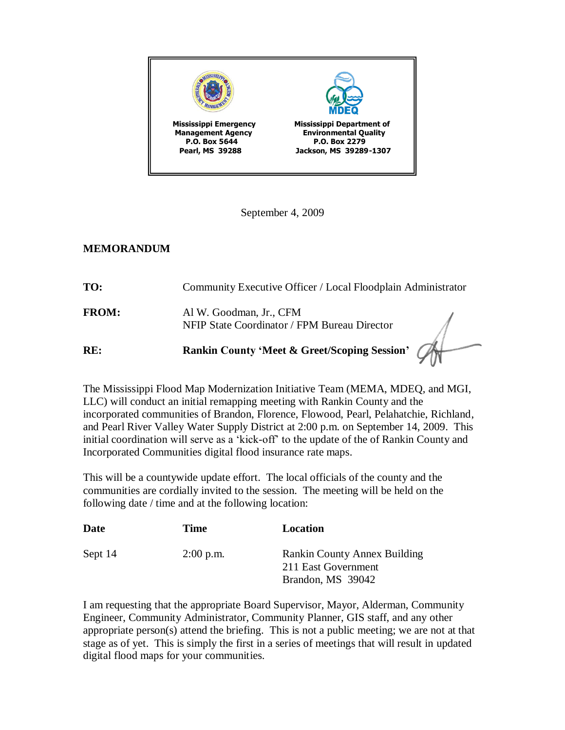

September 4, 2009

## **MEMORANDUM**

| RE:          | Rankin County 'Meet & Greet/Scoping Session' (A                         |  |
|--------------|-------------------------------------------------------------------------|--|
| <b>FROM:</b> | Al W. Goodman, Jr., CFM<br>NFIP State Coordinator / FPM Bureau Director |  |
| TO:          | Community Executive Officer / Local Floodplain Administrator            |  |

The Mississippi Flood Map Modernization Initiative Team (MEMA, MDEQ, and MGI, LLC) will conduct an initial remapping meeting with Rankin County and the incorporated communities of Brandon, Florence, Flowood, Pearl, Pelahatchie, Richland, and Pearl River Valley Water Supply District at 2:00 p.m. on September 14, 2009. This initial coordination will serve as a 'kick-off' to the update of the of Rankin County and Incorporated Communities digital flood insurance rate maps.

This will be a countywide update effort. The local officials of the county and the communities are cordially invited to the session. The meeting will be held on the following date / time and at the following location:

| Date    | <b>Time</b> | Location                                                                        |
|---------|-------------|---------------------------------------------------------------------------------|
| Sept 14 | $2:00$ p.m. | <b>Rankin County Annex Building</b><br>211 East Government<br>Brandon, MS 39042 |

I am requesting that the appropriate Board Supervisor, Mayor, Alderman, Community Engineer, Community Administrator, Community Planner, GIS staff, and any other appropriate person(s) attend the briefing. This is not a public meeting; we are not at that stage as of yet. This is simply the first in a series of meetings that will result in updated digital flood maps for your communities.